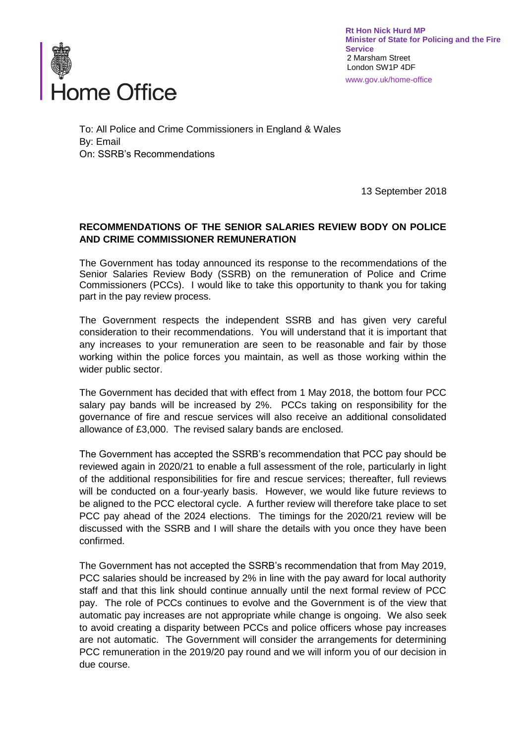

**Rt Hon Nick Hurd MP Minister of State for Policing and the Fire Service** 2 Marsham Street London SW1P 4DF www.gov.uk/home-office

To: All Police and Crime Commissioners in England & Wales By: Email On: SSRB's Recommendations

13 September 2018

## **RECOMMENDATIONS OF THE SENIOR SALARIES REVIEW BODY ON POLICE AND CRIME COMMISSIONER REMUNERATION**

The Government has today announced its response to the recommendations of the Senior Salaries Review Body (SSRB) on the remuneration of Police and Crime Commissioners (PCCs). I would like to take this opportunity to thank you for taking part in the pay review process.

The Government respects the independent SSRB and has given very careful consideration to their recommendations. You will understand that it is important that any increases to your remuneration are seen to be reasonable and fair by those working within the police forces you maintain, as well as those working within the wider public sector.

The Government has decided that with effect from 1 May 2018, the bottom four PCC salary pay bands will be increased by 2%. PCCs taking on responsibility for the governance of fire and rescue services will also receive an additional consolidated allowance of £3,000. The revised salary bands are enclosed.

The Government has accepted the SSRB's recommendation that PCC pay should be reviewed again in 2020/21 to enable a full assessment of the role, particularly in light of the additional responsibilities for fire and rescue services; thereafter, full reviews will be conducted on a four-yearly basis. However, we would like future reviews to be aligned to the PCC electoral cycle. A further review will therefore take place to set PCC pay ahead of the 2024 elections. The timings for the 2020/21 review will be discussed with the SSRB and I will share the details with you once they have been confirmed.

The Government has not accepted the SSRB's recommendation that from May 2019, PCC salaries should be increased by 2% in line with the pay award for local authority staff and that this link should continue annually until the next formal review of PCC pay. The role of PCCs continues to evolve and the Government is of the view that automatic pay increases are not appropriate while change is ongoing. We also seek to avoid creating a disparity between PCCs and police officers whose pay increases are not automatic. The Government will consider the arrangements for determining PCC remuneration in the 2019/20 pay round and we will inform you of our decision in due course.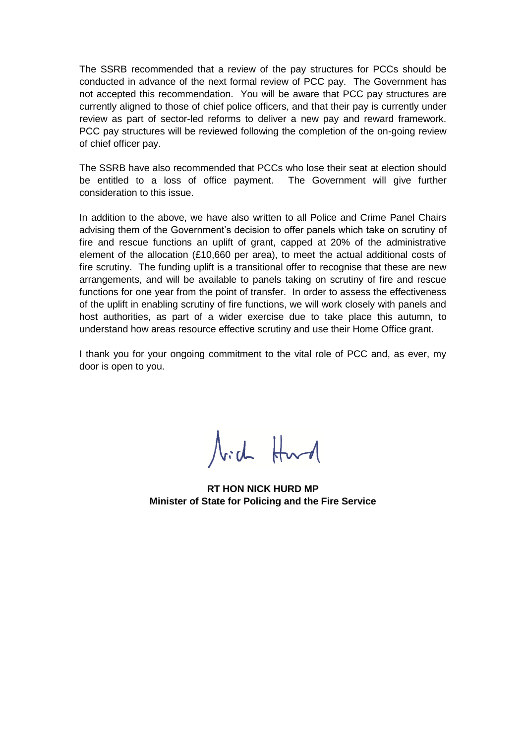The SSRB recommended that a review of the pay structures for PCCs should be conducted in advance of the next formal review of PCC pay. The Government has not accepted this recommendation. You will be aware that PCC pay structures are currently aligned to those of chief police officers, and that their pay is currently under review as part of sector-led reforms to deliver a new pay and reward framework. PCC pay structures will be reviewed following the completion of the on-going review of chief officer pay.

The SSRB have also recommended that PCCs who lose their seat at election should be entitled to a loss of office payment. The Government will give further consideration to this issue.

In addition to the above, we have also written to all Police and Crime Panel Chairs advising them of the Government's decision to offer panels which take on scrutiny of fire and rescue functions an uplift of grant, capped at 20% of the administrative element of the allocation (£10,660 per area), to meet the actual additional costs of fire scrutiny. The funding uplift is a transitional offer to recognise that these are new arrangements, and will be available to panels taking on scrutiny of fire and rescue functions for one year from the point of transfer. In order to assess the effectiveness of the uplift in enabling scrutiny of fire functions, we will work closely with panels and host authorities, as part of a wider exercise due to take place this autumn, to understand how areas resource effective scrutiny and use their Home Office grant.

I thank you for your ongoing commitment to the vital role of PCC and, as ever, my door is open to you.

Nich Hurd

**RT HON NICK HURD MP Minister of State for Policing and the Fire Service**